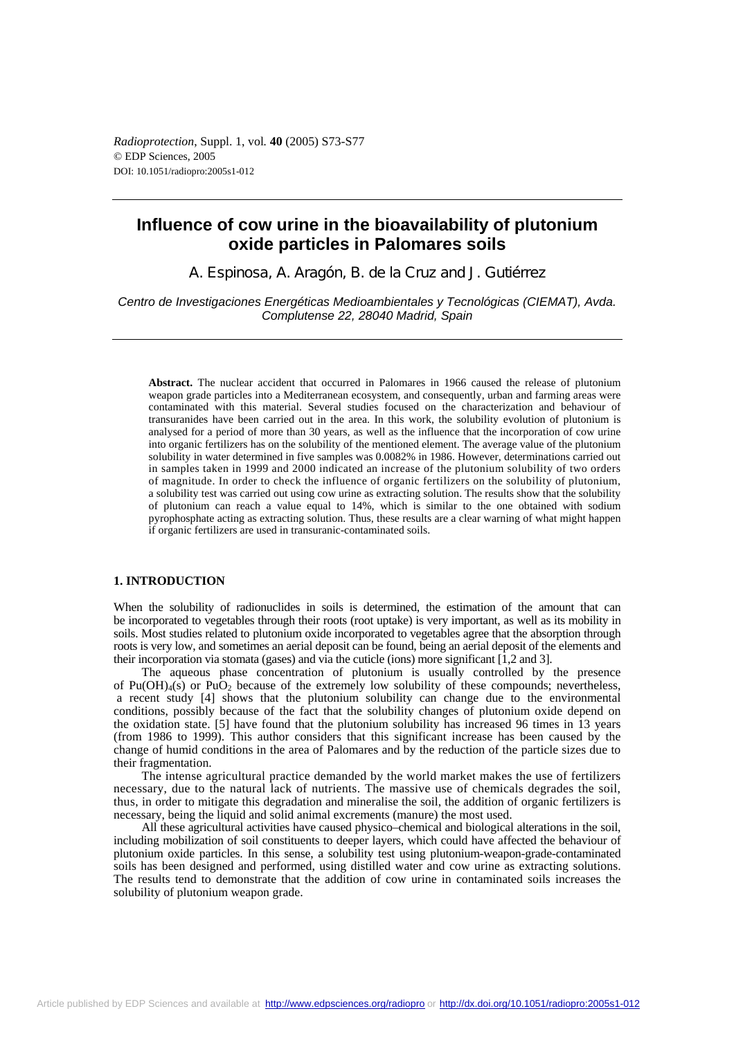*Radioprotection*, Suppl. 1, vol*.* **40** (2005) S73-S77 © EDP Sciences, 2005 DOI: 10.1051/radiopro:2005s1-012

# **Influence of cow urine in the bioavailability of plutonium oxide particles in Palomares soils**

A. Espinosa, A. Aragón, B. de la Cruz and J. Gutiérrez

*Centro de Investigaciones Energéticas Medioambientales y Tecnológicas (CIEMAT), Avda. Complutense 22, 28040 Madrid, Spain* 

**Abstract.** The nuclear accident that occurred in Palomares in 1966 caused the release of plutonium weapon grade particles into a Mediterranean ecosystem, and consequently, urban and farming areas were contaminated with this material. Several studies focused on the characterization and behaviour of transuranides have been carried out in the area. In this work, the solubility evolution of plutonium is analysed for a period of more than 30 years, as well as the influence that the incorporation of cow urine into organic fertilizers has on the solubility of the mentioned element. The average value of the plutonium solubility in water determined in five samples was 0.0082% in 1986. However, determinations carried out in samples taken in 1999 and 2000 indicated an increase of the plutonium solubility of two orders of magnitude. In order to check the influence of organic fertilizers on the solubility of plutonium, a solubility test was carried out using cow urine as extracting solution. The results show that the solubility of plutonium can reach a value equal to 14%, which is similar to the one obtained with sodium pyrophosphate acting as extracting solution. Thus, these results are a clear warning of what might happen if organic fertilizers are used in transuranic-contaminated soils.

### **1. INTRODUCTION**

When the solubility of radionuclides in soils is determined, the estimation of the amount that can be incorporated to vegetables through their roots (root uptake) is very important, as well as its mobility in soils. Most studies related to plutonium oxide incorporated to vegetables agree that the absorption through roots is very low, and sometimes an aerial deposit can be found, being an aerial deposit of the elements and their incorporation via stomata (gases) and via the cuticle (ions) more significant [1,2 and 3].

The aqueous phase concentration of plutonium is usually controlled by the presence of Pu(OH) $_4$ (s) or PuO<sub>2</sub> because of the extremely low solubility of these compounds; nevertheless, a recent study [4] shows that the plutonium solubility can change due to the environmental conditions, possibly because of the fact that the solubility changes of plutonium oxide depend on the oxidation state. [5] have found that the plutonium solubility has increased 96 times in 13 years (from 1986 to 1999). This author considers that this significant increase has been caused by the change of humid conditions in the area of Palomares and by the reduction of the particle sizes due to their fragmentation.

The intense agricultural practice demanded by the world market makes the use of fertilizers necessary, due to the natural lack of nutrients. The massive use of chemicals degrades the soil, thus, in order to mitigate this degradation and mineralise the soil, the addition of organic fertilizers is necessary, being the liquid and solid animal excrements (manure) the most used.

All these agricultural activities have caused physico–chemical and biological alterations in the soil, including mobilization of soil constituents to deeper layers, which could have affected the behaviour of plutonium oxide particles. In this sense, a solubility test using plutonium-weapon-grade-contaminated soils has been designed and performed, using distilled water and cow urine as extracting solutions. The results tend to demonstrate that the addition of cow urine in contaminated soils increases the solubility of plutonium weapon grade.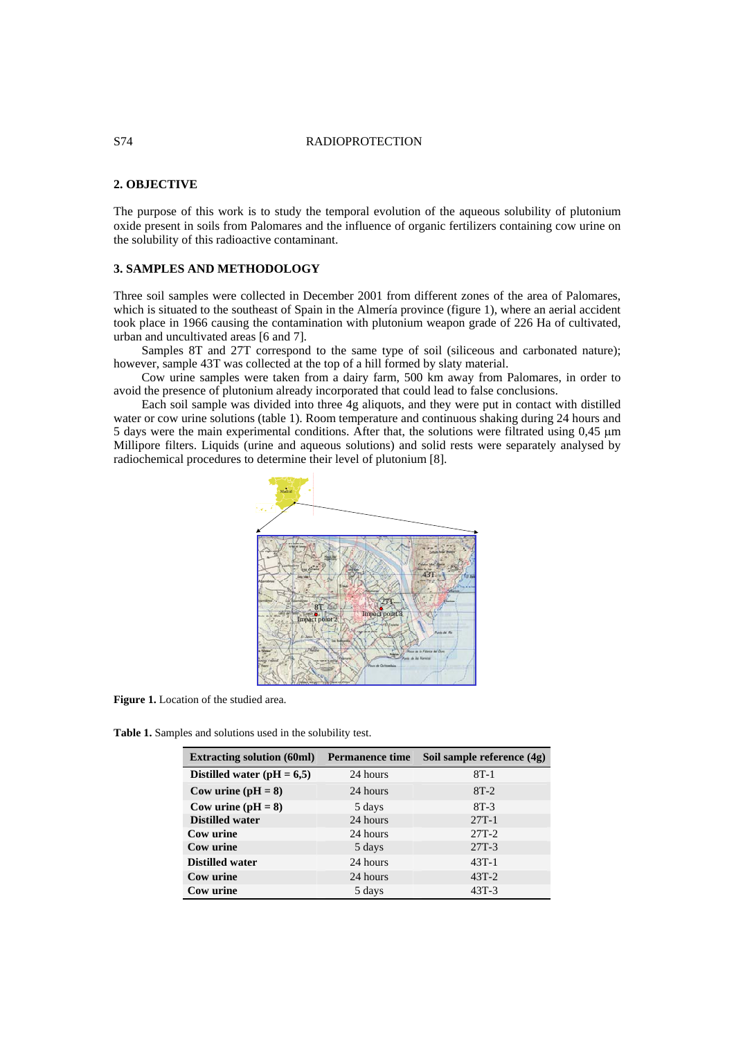### S74 RADIOPROTECTION

## **2. OBJECTIVE**

The purpose of this work is to study the temporal evolution of the aqueous solubility of plutonium oxide present in soils from Palomares and the influence of organic fertilizers containing cow urine on the solubility of this radioactive contaminant.

## **3. SAMPLES AND METHODOLOGY**

Three soil samples were collected in December 2001 from different zones of the area of Palomares, which is situated to the southeast of Spain in the Almería province (figure 1), where an aerial accident took place in 1966 causing the contamination with plutonium weapon grade of 226 Ha of cultivated, urban and uncultivated areas [6 and 7].

Samples 8T and 27T correspond to the same type of soil (siliceous and carbonated nature); however, sample 43T was collected at the top of a hill formed by slaty material.

Cow urine samples were taken from a dairy farm, 500 km away from Palomares, in order to avoid the presence of plutonium already incorporated that could lead to false conclusions.

Each soil sample was divided into three 4g aliquots, and they were put in contact with distilled water or cow urine solutions (table 1). Room temperature and continuous shaking during 24 hours and 5 days were the main experimental conditions. After that, the solutions were filtrated using 0,45 µm Millipore filters. Liquids (urine and aqueous solutions) and solid rests were separately analysed by radiochemical procedures to determine their level of plutonium [8].



**Figure 1.** Location of the studied area.

**Table 1.** Samples and solutions used in the solubility test.

| <b>Extracting solution (60ml)</b> | <b>Permanence time</b> | Soil sample reference (4g) |
|-----------------------------------|------------------------|----------------------------|
| Distilled water ( $pH = 6,5$ )    | 24 hours               | $8T-1$                     |
| Cow urine $(pH = 8)$              | 24 hours               | $8T-2$                     |
| Cow urine $(pH = 8)$              | 5 days                 | $8T-3$                     |
| <b>Distilled water</b>            | 24 hours               | $27T-1$                    |
| Cow urine                         | 24 hours               | $27T-2$                    |
| Cow urine                         | 5 days                 | $27T-3$                    |
| <b>Distilled water</b>            | 24 hours               | $43T-1$                    |
| Cow urine                         | 24 hours               | $43T-2$                    |
| Cow urine                         | 5 days                 | $43T-3$                    |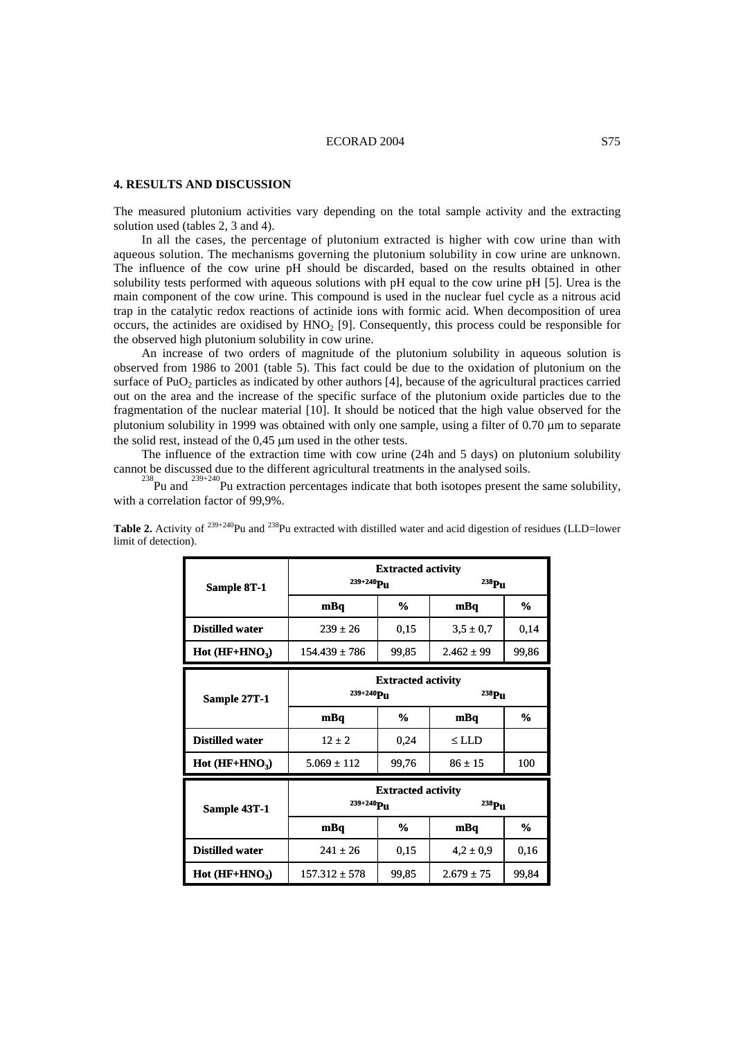#### ECORAD 2004 S75

## **4. RESULTS AND DISCUSSION**

The measured plutonium activities vary depending on the total sample activity and the extracting solution used (tables 2, 3 and 4).

In all the cases, the percentage of plutonium extracted is higher with cow urine than with aqueous solution. The mechanisms governing the plutonium solubility in cow urine are unknown. The influence of the cow urine pH should be discarded, based on the results obtained in other solubility tests performed with aqueous solutions with pH equal to the cow urine pH [5]. Urea is the main component of the cow urine. This compound is used in the nuclear fuel cycle as a nitrous acid trap in the catalytic redox reactions of actinide ions with formic acid. When decomposition of urea occurs, the actinides are oxidised by  $HNO<sub>2</sub>$  [9]. Consequently, this process could be responsible for the observed high plutonium solubility in cow urine.

An increase of two orders of magnitude of the plutonium solubility in aqueous solution is observed from 1986 to 2001 (table 5). This fact could be due to the oxidation of plutonium on the surface of PuO<sub>2</sub> particles as indicated by other authors [4], because of the agricultural practices carried out on the area and the increase of the specific surface of the plutonium oxide particles due to the fragmentation of the nuclear material [10]. It should be noticed that the high value observed for the plutonium solubility in 1999 was obtained with only one sample, using a filter of  $0.70 \mu m$  to separate the solid rest, instead of the 0,45 µm used in the other tests.

The influence of the extraction time with cow urine (24h and 5 days) on plutonium solubility cannot be discussed due to the different agricultural treatments in the analysed soils.

Pu and  $^{239+240}$ Pu extraction percentages indicate that both isotopes present the same solubility, with a correlation factor of 99,9%.

|                        | <b>Extracted activity</b> |                |                |       |
|------------------------|---------------------------|----------------|----------------|-------|
| Sample 8T-1            | $239 + 240$ Pu            |                | $^{238}Pu$     |       |
|                        | mBq                       | $\frac{6}{10}$ | mBq            | %     |
| <b>Distilled water</b> | $239 \pm 26$              | 0,15           | $3,5 \pm 0.7$  | 0,14  |
| Hot $(HF+HNO3)$        | $154.439 \pm 786$         | 99,85          | $2.462 + 99$   | 99,86 |
|                        | <b>Extracted activity</b> |                |                |       |
| Sample 27T-1           | 239+240Pu                 |                | $^{238}Pu$     |       |
|                        | mBq                       | $\frac{6}{10}$ | mBq            | %     |
| <b>Distilled water</b> | $12 + 2$                  | 0,24           | $\leq$ LLD     |       |
| $Hot (HF+HNO3)$        | $5.069 \pm 112$           | 99,76          | $86 + 15$      | 100   |
|                        | <b>Extracted activity</b> |                |                |       |
| Sample 43T-1           | $239 + 240$ Pu            |                | $238$ Pu       |       |
|                        | mBq                       | $\frac{6}{10}$ | mBq            | $\%$  |
| <b>Distilled water</b> | $241 + 26$                | 0,15           | $4.2 \pm 0.9$  | 0,16  |
| $Hot (HF+HNO3)$        | $157.312 \pm 578$         | 99,85          | $2.679 \pm 75$ | 99,84 |

**Table 2.** Activity of <sup>239+240</sup>Pu and <sup>238</sup>Pu extracted with distilled water and acid digestion of residues (LLD=lower limit of detection).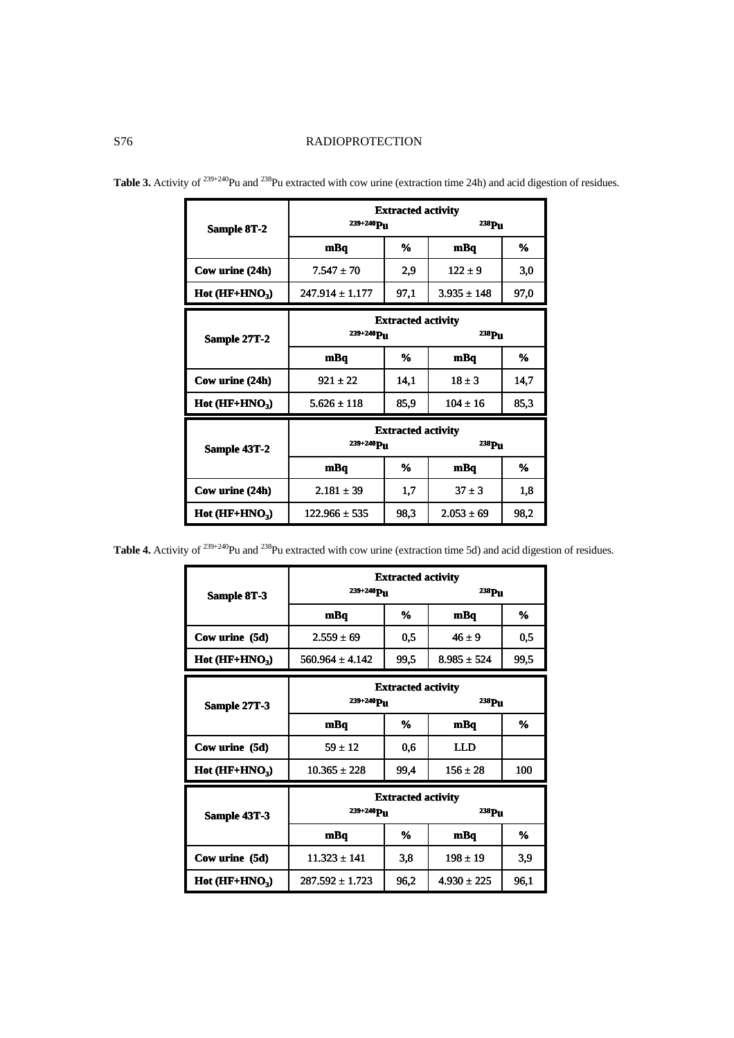# S76 RADIOPROTECTION

|                 | <b>Extracted activity</b> |      |                   |      |
|-----------------|---------------------------|------|-------------------|------|
| Sample 8T-2     | $239 + 240$ Pu            |      | $^{238}Pu$        |      |
|                 | mBq                       | %    | mBq               | ℅    |
| Cow urine (24h) | $7.547 + 70$              | 2,9  | $122 + 9$         | 3,0  |
| $Hot (HF+HNO3)$ | $247.914 \pm 1.177$       | 97,1 | $3.935 \pm 148$   | 97,0 |
|                 | <b>Extracted activity</b> |      |                   |      |
| Sample 27T-2    | $239 + 240$ Pu            |      | <sup>238</sup> Pu |      |
|                 | mBq                       | %    | mBq               | %    |
| Cow urine (24h) | $921 + 22$                | 14,1 | $18 + 3$          | 14,7 |
| $Hot (HF+HNO3)$ | $5.626 \pm 118$           | 85,9 | $104 \pm 16$      | 85,3 |
|                 | <b>Extracted activity</b> |      |                   |      |
| Sample 43T-2    | $239 + 240$ Pu            |      | <sup>238</sup> Pu |      |
|                 | mBq                       | %    | mBq               | %    |
| Cow urine (24h) | $2.181 \pm 39$            | 1,7  | $37 \pm 3$        | 1,8  |
| $Hot (HF+HNO3)$ | $122.966 + 535$           | 98.3 | $2.053 \pm 69$    | 98,2 |

**Table 3.** Activity of <sup>239+240</sup>Pu and <sup>238</sup>Pu extracted with cow urine (extraction time 24h) and acid digestion of residues.

**Table 4.** Activity of <sup>239+240</sup>Pu and <sup>238</sup>Pu extracted with cow urine (extraction time 5d) and acid digestion of residues.

|                 | <b>Extracted activity</b> |      |                 |      |
|-----------------|---------------------------|------|-----------------|------|
| Sample 8T-3     | $239 + 240$ Pu            |      | $^{238}Pu$      |      |
|                 | mBa                       | %    | mBq             | %    |
| Cow urine (5d)  | $2.559 \pm 69$            | 0,5  | $46 + 9$        | 0,5  |
| $Hot (HF+HNO3)$ | $560.964 \pm 4.142$       | 99,5 | $8.985 \pm 524$ | 99,5 |
|                 | <b>Extracted activity</b> |      |                 |      |
| Sample 27T-3    | 239+240Pu                 |      | 238Pu           |      |
|                 | mBq                       | %    | mBq             | %    |
| Cow urine (5d)  | $59 + 12$                 | 0,6  | LLD             |      |
| $Hot (HF+HNO3)$ | $10.365 \pm 228$          | 99,4 | $156 \pm 28$    | 100  |
|                 | <b>Extracted activity</b> |      |                 |      |
| Sample 43T-3    | $239 + 240$ Pu            |      | $^{238}Pu$      |      |
|                 | mBq                       | %    | mBq             | %    |
| Cow urine (5d)  | $11.323 \pm 141$          | 3,8  | $198 \pm 19$    | 3,9  |
| $Hot (HF+HNO3)$ | $287.592 \pm 1.723$       | 96,2 | $4.930 \pm 225$ | 96,1 |